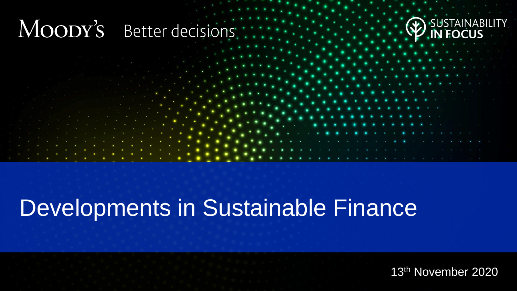#### MOODY'S Better decisions



# Developments in Sustainable Finance

13th November 2020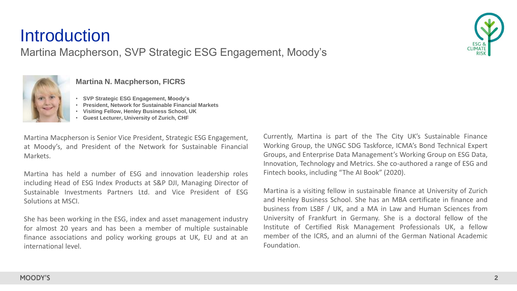### **Introduction**

Martina Macpherson, SVP Strategic ESG Engagement, Moody's



#### **Martina N. Macpherson, FICRS**

• **SVP Strategic ESG Engagement, Moody's**

- **President, Network for Sustainable Financial Markets**
- **Visiting Fellow, Henley Business School, UK**
- **Guest Lecturer, University of Zurich, CHF**

Martina Macpherson is Senior Vice President, Strategic ESG Engagement, at Moody's, and President of the Network for Sustainable Financial Markets.

Martina has held a number of ESG and innovation leadership roles including Head of ESG Index Products at S&P DJI, Managing Director of Sustainable Investments Partners Ltd. and Vice President of ESG Solutions at MSCI.

She has been working in the ESG, index and asset management industry for almost 20 years and has been a member of multiple sustainable finance associations and policy working groups at UK, EU and at an international level.

Currently, Martina is part of the The City UK's Sustainable Finance Working Group, the UNGC SDG Taskforce, ICMA's Bond Technical Expert Groups, and Enterprise Data Management's Working Group on ESG Data, Innovation, Technology and Metrics. She co-authored a range of ESG and Fintech books, including "The AI Book" (2020).

Martina is a visiting fellow in sustainable finance at University of Zurich and Henley Business School. She has an MBA certificate in finance and business from LSBF / UK, and a MA in Law and Human Sciences from University of Frankfurt in Germany. She is a doctoral fellow of the Institute of Certified Risk Management Professionals UK, a fellow member of the ICRS, and an alumni of the German National Academic Foundation.

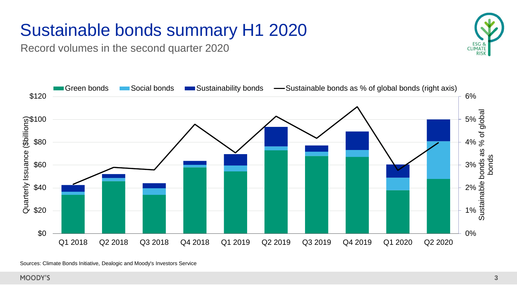## Sustainable bonds summary H1 2020

Record volumes in the second quarter 2020





Sources: Climate Bonds Initiative, Dealogic and Moody's Investors Service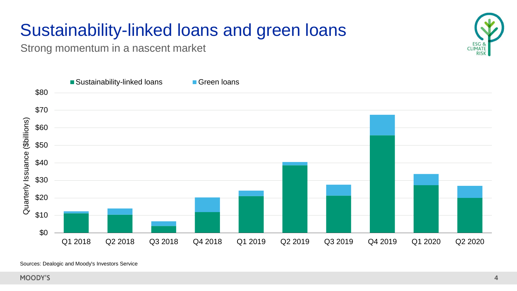## Sustainability-linked loans and green loans

Strong momentum in a nascent market





Sources: Dealogic and Moody's Investors Service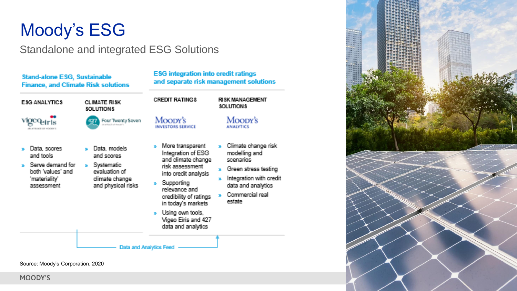### Moody's ESG

#### Standalone and integrated ESG Solutions

**ESG integration into credit ratings** 

and separate risk management solutions

**RISK MANAGEMENT** 

Moody's

» Climate change risk

» Green stress testing

 $\bullet$  Integration with credit

data and analytics

Commercial real

modelling and

scenarios

estate

**ANALYTICS** 

SOLUTIONS

**Stand-alone ESG, Sustainable Finance, and Climate Risk solutions** 

| <b>ESG ANALYTICS</b><br>үкжөн                                                                     | CLIMATE RISK<br>SOLUTIONS<br>Four Twenty Seven                                                            | <b>CREDIT RATINGS</b><br>Moody's<br><b>INVESTORS SERVICE</b>                                                                                                                                                                                                |
|---------------------------------------------------------------------------------------------------|-----------------------------------------------------------------------------------------------------------|-------------------------------------------------------------------------------------------------------------------------------------------------------------------------------------------------------------------------------------------------------------|
| Data, scores<br>and tools<br>Serve demand for<br>both 'values' and<br>'materiality'<br>assessment | Data, models<br>and scores.<br>Systematic<br>χý,<br>evaluation of<br>climate change<br>and physical risks | More transparent<br>Integration of ESG<br>and climate change<br>risk assessment<br>into credit analysis<br>» Supporting<br>relevance and<br>credibility of ratings<br>in today's markets<br>» Using own tools,<br>Vigeo Eiris and 427<br>data and analytics |
|                                                                                                   | <b>Data and Analytics Feed</b>                                                                            |                                                                                                                                                                                                                                                             |

Source: Moody's Corporation, 2020

MOODY'S

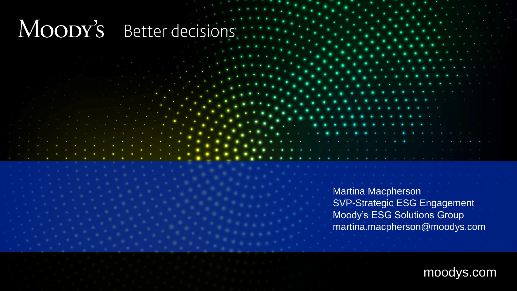#### MOODY'S Better decisions.

Martina Macpherson SVP-Strategic ESG Engagement Moody's ESG Solutions Group martina.macpherson@moodys.com

moodys.com